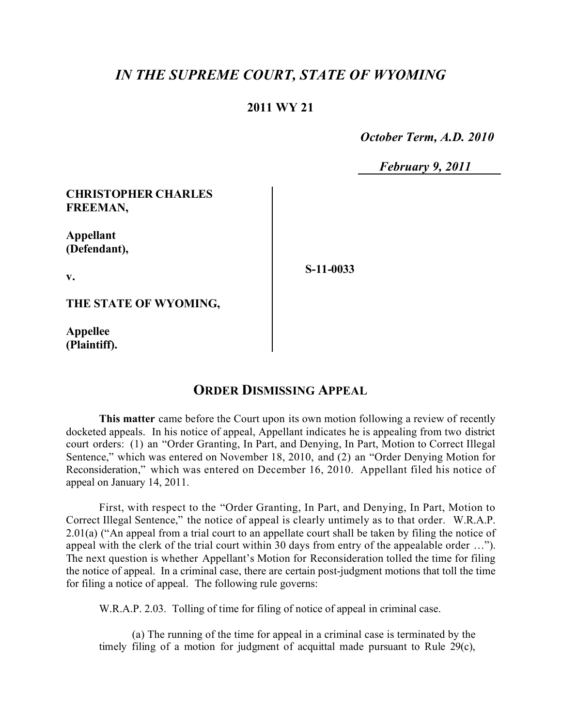# *IN THE SUPREME COURT, STATE OF WYOMING*

### **2011 WY 21**

 *October Term, A.D. 2010*

 *February 9, 2011*

#### **CHRISTOPHER CHARLES FREEMAN,**

**Appellant (Defendant),**

**v.**

**S-11-0033**

**THE STATE OF WYOMING,**

**Appellee (Plaintiff).**

## **ORDER DISMISSING APPEAL**

**This matter** came before the Court upon its own motion following a review of recently docketed appeals. In his notice of appeal, Appellant indicates he is appealing from two district court orders: (1) an "Order Granting, In Part, and Denying, In Part, Motion to Correct Illegal Sentence," which was entered on November 18, 2010, and (2) an "Order Denying Motion for Reconsideration," which was entered on December 16, 2010. Appellant filed his notice of appeal on January 14, 2011.

First, with respect to the "Order Granting, In Part, and Denying, In Part, Motion to Correct Illegal Sentence," the notice of appeal is clearly untimely as to that order. W.R.A.P. 2.01(a) ("An appeal from a trial court to an appellate court shall be taken by filing the notice of appeal with the clerk of the trial court within 30 days from entry of the appealable order …"). The next question is whether Appellant's Motion for Reconsideration tolled the time for filing the notice of appeal. In a criminal case, there are certain post-judgment motions that toll the time for filing a notice of appeal. The following rule governs:

W.R.A.P. 2.03. Tolling of time for filing of notice of appeal in criminal case.

(a) The running of the time for appeal in a criminal case is terminated by the timely filing of a motion for judgment of acquittal made pursuant to Rule 29(c),